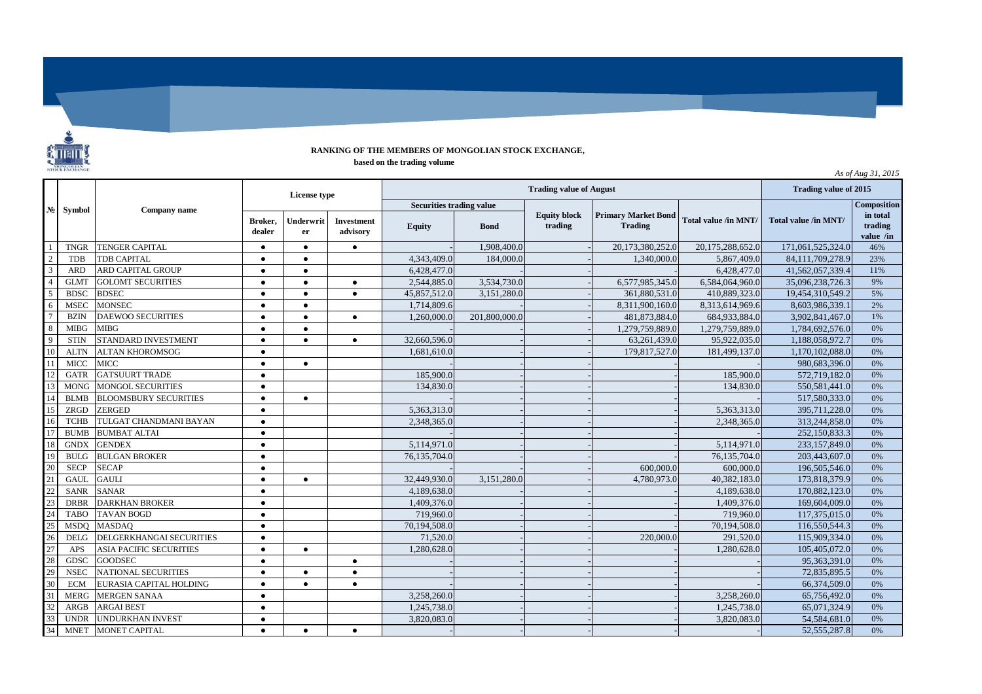## **RANKING OF THE MEMBERS OF MONGOLIAN STOCK EXCHANGE, based on the trading volume**

*As of Aug 31, 2015*

|                                                                                                               | <b>Symbol</b> | Company name                   | License type      |                 |                               | <b>Trading value of 2015</b>    |               |                                |                                              |                      |                      |                                     |
|---------------------------------------------------------------------------------------------------------------|---------------|--------------------------------|-------------------|-----------------|-------------------------------|---------------------------------|---------------|--------------------------------|----------------------------------------------|----------------------|----------------------|-------------------------------------|
| $\mathbf{N}\mathbf{e}$                                                                                        |               |                                |                   |                 |                               | <b>Securities trading value</b> |               |                                |                                              |                      |                      | <b>Composition</b>                  |
|                                                                                                               |               |                                | Broker.<br>dealer | Underwrit<br>er | <b>Investment</b><br>advisory | <b>Equity</b>                   | <b>Bond</b>   | <b>Equity block</b><br>trading | <b>Primary Market Bond</b><br><b>Trading</b> | Total value /in MNT/ | Total value /in MNT/ | in total<br>trading<br>value $/$ in |
| $\overline{1}$                                                                                                | <b>TNGR</b>   | <b>TENGER CAPITAL</b>          | $\bullet$         | $\bullet$       | $\bullet$                     |                                 | 1,908,400.0   |                                | 20,173,380,252.0                             | 20,175,288,652.0     | 171,061,525,324.0    | 46%                                 |
|                                                                                                               | <b>TDB</b>    | <b>TDB CAPITAL</b>             | $\bullet$         | $\bullet$       |                               | 4,343,409.0                     | 184,000.0     |                                | 1.340,000.0                                  | 5.867.409.0          | 84,111,709,278.9     | 23%                                 |
|                                                                                                               | <b>ARD</b>    | ARD CAPITAL GROUP              | $\bullet$         | $\bullet$       |                               | 6,428,477.0                     |               |                                |                                              | 6,428,477.0          | 41,562,057,339.4     | 11%                                 |
| $\begin{array}{r l}\n\hline\n2 \\ \hline\n3 \\ \hline\n4 \\ \hline\n5 \\ \hline\n6 \\ \hline\n7\n\end{array}$ | <b>GLMT</b>   | <b>GOLOMT SECURITIES</b>       | $\bullet$         | $\bullet$       | $\bullet$                     | 2,544,885.0                     | 3,534,730.0   |                                | 6,577,985,345.0                              | 6,584,064,960.0      | 35,096,238,726.3     | 9%                                  |
|                                                                                                               | <b>BDSC</b>   | <b>BDSEC</b>                   | $\bullet$         | $\bullet$       | $\bullet$                     | 45.857.512.0                    | 3,151,280.0   |                                | 361.880.531.0                                | 410,889,323.0        | 19,454,310,549.2     | 5%                                  |
|                                                                                                               | <b>MSEC</b>   | <b>MONSEC</b>                  | $\bullet$         | $\bullet$       |                               | 1,714,809.6                     |               |                                | 8,311,900,160.0                              | 8,313,614,969.6      | 8,603,986,339.1      | 2%                                  |
|                                                                                                               | <b>BZIN</b>   | <b>DAEWOO SECURITIES</b>       | $\bullet$         | $\bullet$       | $\bullet$                     | 1,260,000.0                     | 201,800,000.0 |                                | 481,873,884.0                                | 684,933,884.0        | 3,902,841,467.0      | 1%                                  |
|                                                                                                               | <b>MIBG</b>   | <b>MIBG</b>                    | $\bullet$         | $\bullet$       |                               |                                 |               |                                | 1,279,759,889.0                              | 1,279,759,889.0      | 1,784,692,576.0      | 0%                                  |
| $\begin{array}{r} 8 \\ 9 \\ 10 \\ 12 \end{array}$                                                             | <b>STIN</b>   | STANDARD INVESTMENT            | $\bullet$         | $\bullet$       | $\bullet$                     | 32,660,596.0                    |               |                                | 63,261,439.0                                 | 95,922,035.0         | 1,188,058,972.7      | 0%                                  |
|                                                                                                               | <b>ALTN</b>   | <b>ALTAN KHOROMSOG</b>         | $\bullet$         |                 |                               | 1,681,610.0                     |               |                                | 179,817,527.0                                | 181,499,137.0        | 1.170.102.088.0      | 0%                                  |
|                                                                                                               | <b>MICC</b>   | <b>MICC</b>                    | $\bullet$         | $\bullet$       |                               |                                 |               |                                |                                              |                      | 980,683,396.0        | 0%                                  |
|                                                                                                               | <b>GATR</b>   | <b>GATSUURT TRADE</b>          | $\bullet$         |                 |                               | 185,900.0                       |               |                                |                                              | 185,900.0            | 572,719,182.0        | 0%                                  |
| $\overline{13}$                                                                                               | <b>MONG</b>   | <b>MONGOL SECURITIES</b>       | $\bullet$         |                 |                               | 134,830.0                       |               |                                |                                              | 134,830.0            | 550, 581, 441.0      | 0%                                  |
| 14                                                                                                            | <b>BLMB</b>   | <b>BLOOMSBURY SECURITIES</b>   | $\bullet$         | $\bullet$       |                               |                                 |               |                                |                                              |                      | 517,580,333.0        | 0%                                  |
| $\overline{15}$                                                                                               | ZRGD          | <b>ZERGED</b>                  | $\bullet$         |                 |                               | 5.363.313.0                     |               |                                |                                              | 5.363.313.0          | 395.711.228.0        | 0%                                  |
| 16                                                                                                            | <b>TCHB</b>   | TULGAT CHANDMANI BAYAN         | $\bullet$         |                 |                               | 2,348,365.0                     |               |                                |                                              | 2,348,365.0          | 313,244,858.0        | 0%                                  |
| 17                                                                                                            | <b>BUMB</b>   | <b>BUMBAT ALTAI</b>            | $\bullet$         |                 |                               |                                 |               |                                |                                              |                      | 252,150,833.3        | 0%                                  |
|                                                                                                               | <b>GNDX</b>   | <b>GENDEX</b>                  | $\bullet$         |                 |                               | 5,114,971.0                     |               |                                |                                              | 5,114,971.0          | 233,157,849.0        | 0%                                  |
|                                                                                                               | <b>BULG</b>   | <b>BULGAN BROKER</b>           | $\bullet$         |                 |                               | 76,135,704.0                    |               |                                |                                              | 76,135,704.0         | 203,443,607.0        | 0%                                  |
|                                                                                                               | <b>SECP</b>   | <b>SECAP</b>                   | $\bullet$         |                 |                               |                                 |               |                                | 600,000.0                                    | 600,000.0            | 196,505,546.0        | 0%                                  |
|                                                                                                               | <b>GAUL</b>   | <b>GAULI</b>                   | $\bullet$         | $\bullet$       |                               | 32,449,930.0                    | 3,151,280.0   |                                | 4.780.973.0                                  | 40,382,183.0         | 173,818,379.9        | 0%                                  |
|                                                                                                               | <b>SANR</b>   | <b>SANAR</b>                   | $\bullet$         |                 |                               | 4,189,638.0                     |               |                                |                                              | 4,189,638.0          | 170,882,123.0        | 0%                                  |
|                                                                                                               | <b>DRBR</b>   | <b>DARKHAN BROKER</b>          | $\bullet$         |                 |                               | 1,409,376.0                     |               |                                |                                              | 1,409,376.0          | 169,604,009.0        | 0%                                  |
|                                                                                                               | <b>TABO</b>   | <b>TAVAN BOGD</b>              | $\bullet$         |                 |                               | 719,960.0                       |               |                                |                                              | 719,960.0            | 117,375,015.0        | 0%                                  |
|                                                                                                               | <b>MSDO</b>   | <b>MASDAO</b>                  | $\bullet$         |                 |                               | 70,194,508.0                    |               |                                |                                              | 70,194,508.0         | 116,550,544.3        | 0%                                  |
|                                                                                                               | <b>DELG</b>   | DELGERKHANGAI SECURITIES       | $\bullet$         |                 |                               | 71,520.0                        |               |                                | 220,000.0                                    | 291,520.0            | 115,909,334.0        | 0%                                  |
|                                                                                                               | APS           | <b>ASIA PACIFIC SECURITIES</b> | $\bullet$         | $\bullet$       |                               | 1,280,628.0                     |               |                                |                                              | 1,280,628.0          | 105,405,072.0        | 0%                                  |
|                                                                                                               | <b>GDSC</b>   | <b>GOODSEC</b>                 | $\bullet$         |                 | $\bullet$                     |                                 |               |                                |                                              |                      | 95,363,391.0         | 0%                                  |
|                                                                                                               | <b>NSEC</b>   | <b>NATIONAL SECURITIES</b>     | $\bullet$         | $\bullet$       | $\bullet$                     |                                 |               |                                |                                              |                      | 72,835,895.5         | 0%                                  |
| 18<br>19<br>20<br>21<br>22<br>23<br>24<br>25<br>26<br>27<br>28<br>29<br>30<br>31<br>32<br>33                  | <b>ECM</b>    | EURASIA CAPITAL HOLDING        | $\bullet$         | $\bullet$       | $\bullet$                     |                                 |               |                                |                                              |                      | 66,374,509.0         | 0%                                  |
|                                                                                                               | <b>MERG</b>   | <b>MERGEN SANAA</b>            | $\bullet$         |                 |                               | 3,258,260.0                     |               |                                |                                              | 3,258,260.0          | 65,756,492.0         | 0%                                  |
|                                                                                                               | ARGB          | <b>ARGAI BEST</b>              | $\bullet$         |                 |                               | 1,245,738.0                     |               |                                |                                              | 1,245,738.0          | 65,071,324.9         | 0%                                  |
|                                                                                                               | <b>UNDR</b>   | <b>UNDURKHAN INVEST</b>        | $\bullet$         |                 |                               | 3,820,083.0                     |               |                                |                                              | 3,820,083.0          | 54,584,681.0         | 0%                                  |
| 34                                                                                                            | <b>MNET</b>   | MONET CAPITAL                  | $\bullet$         | $\bullet$       | $\bullet$                     |                                 |               |                                |                                              |                      | 52, 555, 287.8       | 0%                                  |